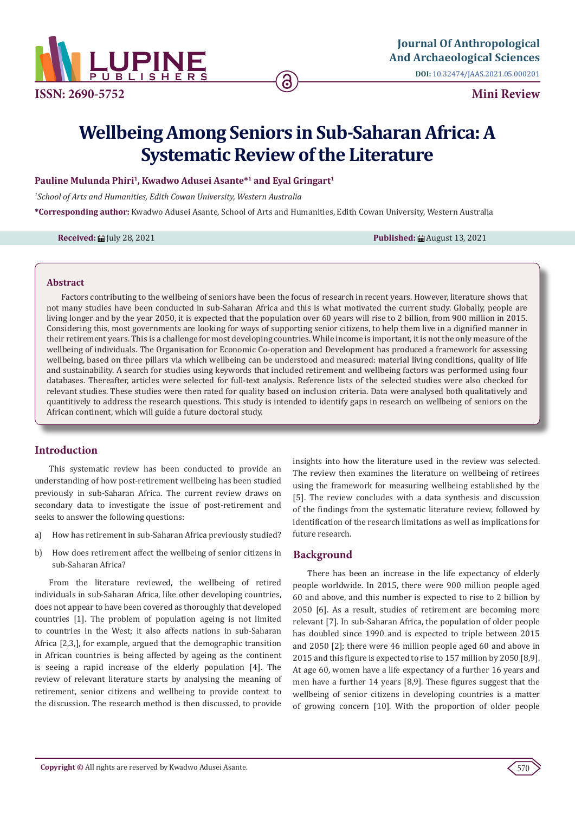

**ISSN: 2690-5752**

**Mini Review**

# **Wellbeing Among Seniors in Sub-Saharan Africa: A Systematic Review of the Literature**

### Pauline Mulunda Phiri<sup>1</sup>, Kwadwo Adusei Asante<sup>\*1</sup> and Eyal Gringart<sup>1</sup>

*1 School of Arts and Humanities, Edith Cowan University, Western Australia*

**\*Corresponding author:** Kwadwo Adusei Asante, School of Arts and Humanities, Edith Cowan University, Western Australia

**Received:** ■ July 28, 2021 **Published:** ■ August 13, 2021

#### **Abstract**

Factors contributing to the wellbeing of seniors have been the focus of research in recent years. However, literature shows that not many studies have been conducted in sub-Saharan Africa and this is what motivated the current study. Globally, people are living longer and by the year 2050, it is expected that the population over 60 years will rise to 2 billion, from 900 million in 2015. Considering this, most governments are looking for ways of supporting senior citizens, to help them live in a dignified manner in their retirement years. This is a challenge for most developing countries. While income is important, it is not the only measure of the wellbeing of individuals. The Organisation for Economic Co-operation and Development has produced a framework for assessing wellbeing, based on three pillars via which wellbeing can be understood and measured: material living conditions, quality of life and sustainability. A search for studies using keywords that included retirement and wellbeing factors was performed using four databases. Thereafter, articles were selected for full-text analysis. Reference lists of the selected studies were also checked for relevant studies. These studies were then rated for quality based on inclusion criteria. Data were analysed both qualitatively and quantitively to address the research questions. This study is intended to identify gaps in research on wellbeing of seniors on the African continent, which will guide a future doctoral study.

### **Introduction**

This systematic review has been conducted to provide an understanding of how post-retirement wellbeing has been studied previously in sub-Saharan Africa. The current review draws on secondary data to investigate the issue of post-retirement and seeks to answer the following questions:

- a) How has retirement in sub-Saharan Africa previously studied?
- b) How does retirement affect the wellbeing of senior citizens in sub-Saharan Africa?

From the literature reviewed, the wellbeing of retired individuals in sub-Saharan Africa, like other developing countries, does not appear to have been covered as thoroughly that developed countries [1]. The problem of population ageing is not limited to countries in the West; it also affects nations in sub-Saharan Africa [2,3,], for example, argued that the demographic transition in African countries is being affected by ageing as the continent is seeing a rapid increase of the elderly population [4]. The review of relevant literature starts by analysing the meaning of retirement, senior citizens and wellbeing to provide context to the discussion. The research method is then discussed, to provide insights into how the literature used in the review was selected. The review then examines the literature on wellbeing of retirees using the framework for measuring wellbeing established by the [5]. The review concludes with a data synthesis and discussion of the findings from the systematic literature review, followed by identification of the research limitations as well as implications for future research.

### **Background**

There has been an increase in the life expectancy of elderly people worldwide. In 2015, there were 900 million people aged 60 and above, and this number is expected to rise to 2 billion by 2050 [6]. As a result, studies of retirement are becoming more relevant [7]. In sub-Saharan Africa, the population of older people has doubled since 1990 and is expected to triple between 2015 and 2050 [2]; there were 46 million people aged 60 and above in 2015 and this figure is expected to rise to 157 million by 2050 [8,9]. At age 60, women have a life expectancy of a further 16 years and men have a further 14 years [8,9]. These figures suggest that the wellbeing of senior citizens in developing countries is a matter of growing concern [10]. With the proportion of older people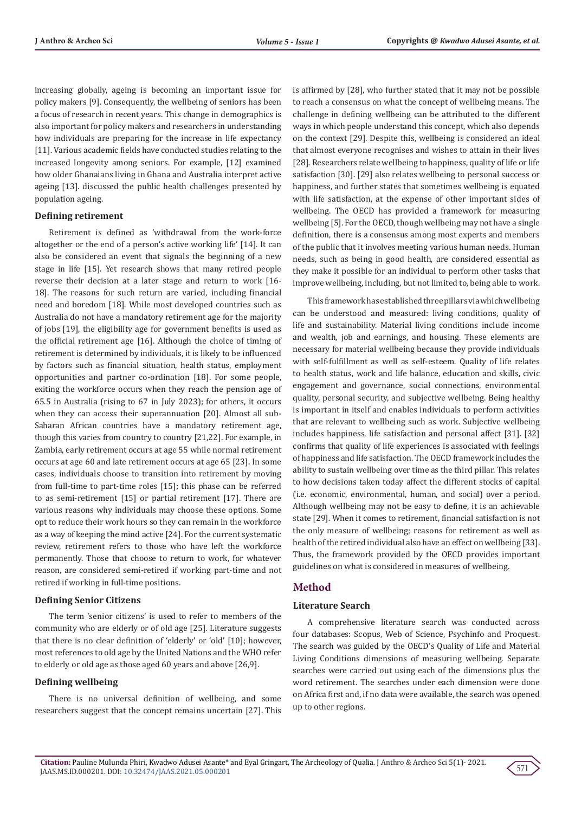increasing globally, ageing is becoming an important issue for policy makers [9]. Consequently, the wellbeing of seniors has been a focus of research in recent years. This change in demographics is also important for policy makers and researchers in understanding how individuals are preparing for the increase in life expectancy [11]. Various academic fields have conducted studies relating to the increased longevity among seniors. For example, [12] examined how older Ghanaians living in Ghana and Australia interpret active ageing [13]. discussed the public health challenges presented by population ageing.

#### **Defining retirement**

Retirement is defined as 'withdrawal from the work-force altogether or the end of a person's active working life' [14]. It can also be considered an event that signals the beginning of a new stage in life [15]. Yet research shows that many retired people reverse their decision at a later stage and return to work [16- 18]. The reasons for such return are varied, including financial need and boredom [18]. While most developed countries such as Australia do not have a mandatory retirement age for the majority of jobs [19], the eligibility age for government benefits is used as the official retirement age [16]. Although the choice of timing of retirement is determined by individuals, it is likely to be influenced by factors such as financial situation, health status, employment opportunities and partner co-ordination [18]. For some people, exiting the workforce occurs when they reach the pension age of 65.5 in Australia (rising to 67 in July 2023); for others, it occurs when they can access their superannuation [20]. Almost all sub-Saharan African countries have a mandatory retirement age, though this varies from country to country [21,22]. For example, in Zambia, early retirement occurs at age 55 while normal retirement occurs at age 60 and late retirement occurs at age 65 [23]. In some cases, individuals choose to transition into retirement by moving from full-time to part-time roles [15]; this phase can be referred to as semi-retirement [15] or partial retirement [17]. There are various reasons why individuals may choose these options. Some opt to reduce their work hours so they can remain in the workforce as a way of keeping the mind active [24]. For the current systematic review, retirement refers to those who have left the workforce permanently. Those that choose to return to work, for whatever reason, are considered semi-retired if working part-time and not retired if working in full-time positions.

#### **Defining Senior Citizens**

The term 'senior citizens' is used to refer to members of the community who are elderly or of old age [25]. Literature suggests that there is no clear definition of 'elderly' or 'old' [10]; however, most references to old age by the United Nations and the WHO refer to elderly or old age as those aged 60 years and above [26,9].

### **Defining wellbeing**

There is no universal definition of wellbeing, and some researchers suggest that the concept remains uncertain [27]. This is affirmed by [28], who further stated that it may not be possible to reach a consensus on what the concept of wellbeing means. The challenge in defining wellbeing can be attributed to the different ways in which people understand this concept, which also depends on the context [29]. Despite this, wellbeing is considered an ideal that almost everyone recognises and wishes to attain in their lives [28]. Researchers relate wellbeing to happiness, quality of life or life satisfaction [30]. [29] also relates wellbeing to personal success or happiness, and further states that sometimes wellbeing is equated with life satisfaction, at the expense of other important sides of wellbeing. The OECD has provided a framework for measuring wellbeing [5]. For the OECD, though wellbeing may not have a single definition, there is a consensus among most experts and members of the public that it involves meeting various human needs. Human needs, such as being in good health, are considered essential as they make it possible for an individual to perform other tasks that improve wellbeing, including, but not limited to, being able to work.

This framework has established three pillars via which wellbeing can be understood and measured: living conditions, quality of life and sustainability. Material living conditions include income and wealth, job and earnings, and housing. These elements are necessary for material wellbeing because they provide individuals with self-fulfillment as well as self-esteem. Quality of life relates to health status, work and life balance, education and skills, civic engagement and governance, social connections, environmental quality, personal security, and subjective wellbeing. Being healthy is important in itself and enables individuals to perform activities that are relevant to wellbeing such as work. Subjective wellbeing includes happiness, life satisfaction and personal affect [31]. [32] confirms that quality of life experiences is associated with feelings of happiness and life satisfaction. The OECD framework includes the ability to sustain wellbeing over time as the third pillar. This relates to how decisions taken today affect the different stocks of capital (i.e. economic, environmental, human, and social) over a period. Although wellbeing may not be easy to define, it is an achievable state [29]. When it comes to retirement, financial satisfaction is not the only measure of wellbeing; reasons for retirement as well as health of the retired individual also have an effect on wellbeing [33]. Thus, the framework provided by the OECD provides important guidelines on what is considered in measures of wellbeing.

### **Method**

#### **Literature Search**

A comprehensive literature search was conducted across four databases: Scopus, Web of Science, Psychinfo and Proquest. The search was guided by the OECD's Quality of Life and Material Living Conditions dimensions of measuring wellbeing. Separate searches were carried out using each of the dimensions plus the word retirement. The searches under each dimension were done on Africa first and, if no data were available, the search was opened up to other regions.

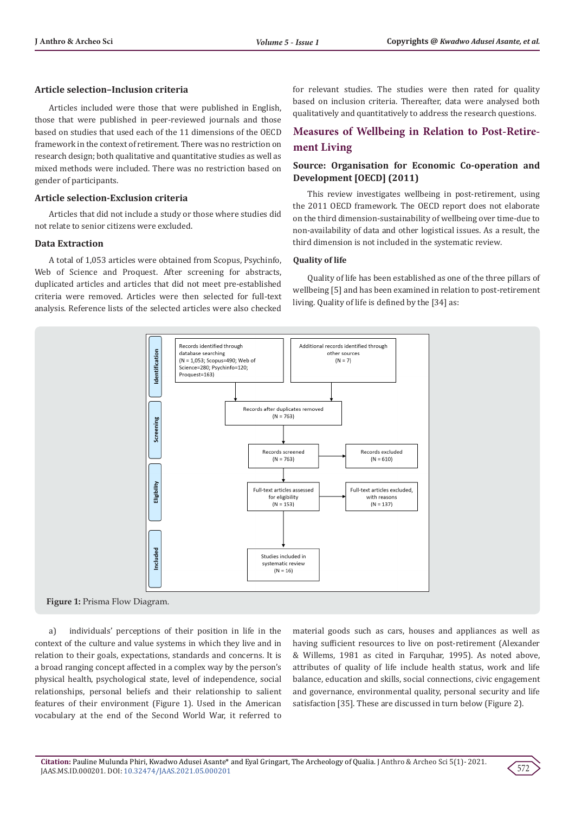### **Article selection–Inclusion criteria**

Articles included were those that were published in English, those that were published in peer-reviewed journals and those based on studies that used each of the 11 dimensions of the OECD framework in the context of retirement. There was no restriction on research design; both qualitative and quantitative studies as well as mixed methods were included. There was no restriction based on gender of participants.

### **Article selection-Exclusion criteria**

Articles that did not include a study or those where studies did not relate to senior citizens were excluded.

#### **Data Extraction**

A total of 1,053 articles were obtained from Scopus, Psychinfo, Web of Science and Proquest. After screening for abstracts, duplicated articles and articles that did not meet pre-established criteria were removed. Articles were then selected for full-text analysis. Reference lists of the selected articles were also checked

for relevant studies. The studies were then rated for quality based on inclusion criteria. Thereafter, data were analysed both qualitatively and quantitatively to address the research questions.

### **Measures of Wellbeing in Relation to Post-Retirement Living**

### **Source: Organisation for Economic Co-operation and Development [OECD] (2011)**

This review investigates wellbeing in post-retirement, using the 2011 OECD framework. The OECD report does not elaborate on the third dimension-sustainability of wellbeing over time-due to non-availability of data and other logistical issues. As a result, the third dimension is not included in the systematic review.

#### **Quality of life**

Quality of life has been established as one of the three pillars of wellbeing [5] and has been examined in relation to post-retirement living. Quality of life is defined by the [34] as:



a) individuals' perceptions of their position in life in the context of the culture and value systems in which they live and in relation to their goals, expectations, standards and concerns. It is a broad ranging concept affected in a complex way by the person's physical health, psychological state, level of independence, social relationships, personal beliefs and their relationship to salient features of their environment (Figure 1). Used in the American vocabulary at the end of the Second World War, it referred to

material goods such as cars, houses and appliances as well as having sufficient resources to live on post-retirement (Alexander & Willems, 1981 as cited in Farquhar, 1995). As noted above, attributes of quality of life include health status, work and life balance, education and skills, social connections, civic engagement and governance, environmental quality, personal security and life satisfaction [35]. These are discussed in turn below (Figure 2).

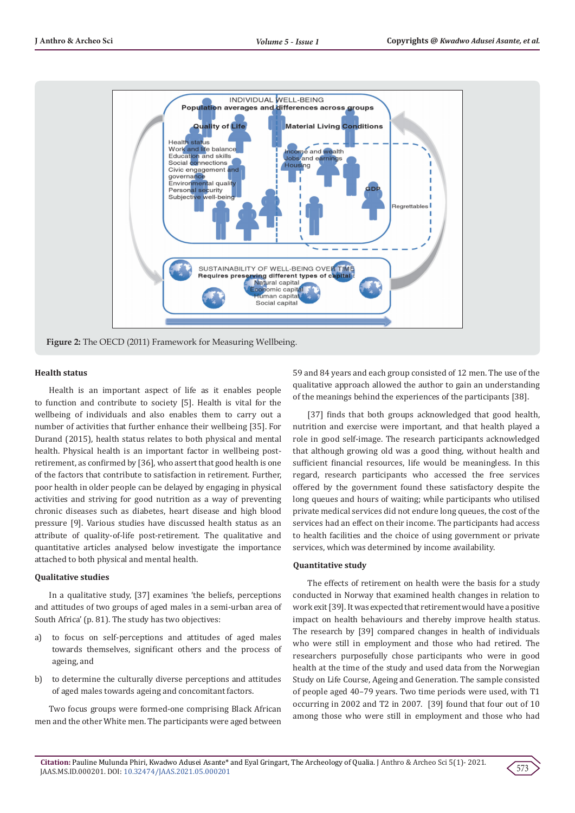

### **Health status**

Health is an important aspect of life as it enables people to function and contribute to society [5]. Health is vital for the wellbeing of individuals and also enables them to carry out a number of activities that further enhance their wellbeing [35]. For Durand (2015), health status relates to both physical and mental health. Physical health is an important factor in wellbeing postretirement, as confirmed by [36], who assert that good health is one of the factors that contribute to satisfaction in retirement. Further, poor health in older people can be delayed by engaging in physical activities and striving for good nutrition as a way of preventing chronic diseases such as diabetes, heart disease and high blood pressure [9]. Various studies have discussed health status as an attribute of quality-of-life post-retirement. The qualitative and quantitative articles analysed below investigate the importance attached to both physical and mental health.

### **Qualitative studies**

In a qualitative study, [37] examines 'the beliefs, perceptions and attitudes of two groups of aged males in a semi-urban area of South Africa' (p. 81). The study has two objectives:

- a) to focus on self-perceptions and attitudes of aged males towards themselves, significant others and the process of ageing, and
- b) to determine the culturally diverse perceptions and attitudes of aged males towards ageing and concomitant factors.

Two focus groups were formed-one comprising Black African men and the other White men. The participants were aged between 59 and 84 years and each group consisted of 12 men. The use of the qualitative approach allowed the author to gain an understanding of the meanings behind the experiences of the participants [38].

[37] finds that both groups acknowledged that good health, nutrition and exercise were important, and that health played a role in good self-image. The research participants acknowledged that although growing old was a good thing, without health and sufficient financial resources, life would be meaningless. In this regard, research participants who accessed the free services offered by the government found these satisfactory despite the long queues and hours of waiting; while participants who utilised private medical services did not endure long queues, the cost of the services had an effect on their income. The participants had access to health facilities and the choice of using government or private services, which was determined by income availability.

### **Quantitative study**

The effects of retirement on health were the basis for a study conducted in Norway that examined health changes in relation to work exit [39]. It was expected that retirement would have a positive impact on health behaviours and thereby improve health status. The research by [39] compared changes in health of individuals who were still in employment and those who had retired. The researchers purposefully chose participants who were in good health at the time of the study and used data from the Norwegian Study on Life Course, Ageing and Generation. The sample consisted of people aged 40–79 years. Two time periods were used, with T1 occurring in 2002 and T2 in 2007. [39] found that four out of 10 among those who were still in employment and those who had

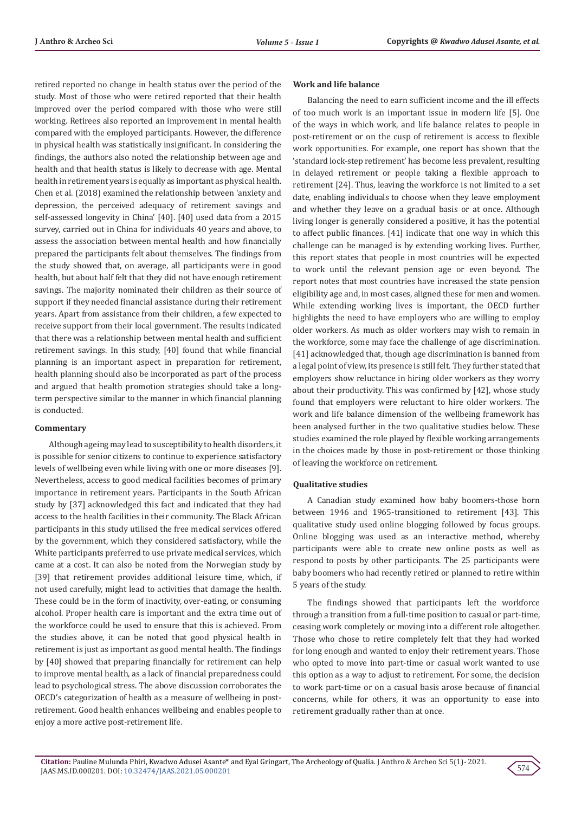retired reported no change in health status over the period of the study. Most of those who were retired reported that their health improved over the period compared with those who were still working. Retirees also reported an improvement in mental health compared with the employed participants. However, the difference in physical health was statistically insignificant. In considering the findings, the authors also noted the relationship between age and health and that health status is likely to decrease with age. Mental health in retirement years is equally as important as physical health. Chen et al. (2018) examined the relationship between 'anxiety and depression, the perceived adequacy of retirement savings and self-assessed longevity in China' [40]. [40] used data from a 2015 survey, carried out in China for individuals 40 years and above, to assess the association between mental health and how financially prepared the participants felt about themselves. The findings from the study showed that, on average, all participants were in good health, but about half felt that they did not have enough retirement savings. The majority nominated their children as their source of support if they needed financial assistance during their retirement years. Apart from assistance from their children, a few expected to receive support from their local government. The results indicated that there was a relationship between mental health and sufficient retirement savings. In this study, [40] found that while financial planning is an important aspect in preparation for retirement, health planning should also be incorporated as part of the process and argued that health promotion strategies should take a longterm perspective similar to the manner in which financial planning is conducted.

#### **Commentary**

Although ageing may lead to susceptibility to health disorders, it is possible for senior citizens to continue to experience satisfactory levels of wellbeing even while living with one or more diseases [9]. Nevertheless, access to good medical facilities becomes of primary importance in retirement years. Participants in the South African study by [37] acknowledged this fact and indicated that they had access to the health facilities in their community. The Black African participants in this study utilised the free medical services offered by the government, which they considered satisfactory, while the White participants preferred to use private medical services, which came at a cost. It can also be noted from the Norwegian study by [39] that retirement provides additional leisure time, which, if not used carefully, might lead to activities that damage the health. These could be in the form of inactivity, over-eating, or consuming alcohol. Proper health care is important and the extra time out of the workforce could be used to ensure that this is achieved. From the studies above, it can be noted that good physical health in retirement is just as important as good mental health. The findings by [40] showed that preparing financially for retirement can help to improve mental health, as a lack of financial preparedness could lead to psychological stress. The above discussion corroborates the OECD's categorization of health as a measure of wellbeing in postretirement. Good health enhances wellbeing and enables people to enjoy a more active post-retirement life.

#### **Work and life balance**

Balancing the need to earn sufficient income and the ill effects of too much work is an important issue in modern life [5]. One of the ways in which work, and life balance relates to people in post-retirement or on the cusp of retirement is access to flexible work opportunities. For example, one report has shown that the 'standard lock-step retirement' has become less prevalent, resulting in delayed retirement or people taking a flexible approach to retirement [24]. Thus, leaving the workforce is not limited to a set date, enabling individuals to choose when they leave employment and whether they leave on a gradual basis or at once. Although living longer is generally considered a positive, it has the potential to affect public finances. [41] indicate that one way in which this challenge can be managed is by extending working lives. Further, this report states that people in most countries will be expected to work until the relevant pension age or even beyond. The report notes that most countries have increased the state pension eligibility age and, in most cases, aligned these for men and women. While extending working lives is important, the OECD further highlights the need to have employers who are willing to employ older workers. As much as older workers may wish to remain in the workforce, some may face the challenge of age discrimination. [41] acknowledged that, though age discrimination is banned from a legal point of view, its presence is still felt. They further stated that employers show reluctance in hiring older workers as they worry about their productivity. This was confirmed by [42], whose study found that employers were reluctant to hire older workers. The work and life balance dimension of the wellbeing framework has been analysed further in the two qualitative studies below. These studies examined the role played by flexible working arrangements in the choices made by those in post-retirement or those thinking of leaving the workforce on retirement.

#### **Qualitative studies**

A Canadian study examined how baby boomers-those born between 1946 and 1965-transitioned to retirement [43]. This qualitative study used online blogging followed by focus groups. Online blogging was used as an interactive method, whereby participants were able to create new online posts as well as respond to posts by other participants. The 25 participants were baby boomers who had recently retired or planned to retire within 5 years of the study.

The findings showed that participants left the workforce through a transition from a full-time position to casual or part-time, ceasing work completely or moving into a different role altogether. Those who chose to retire completely felt that they had worked for long enough and wanted to enjoy their retirement years. Those who opted to move into part-time or casual work wanted to use this option as a way to adjust to retirement. For some, the decision to work part-time or on a casual basis arose because of financial concerns, while for others, it was an opportunity to ease into retirement gradually rather than at once.

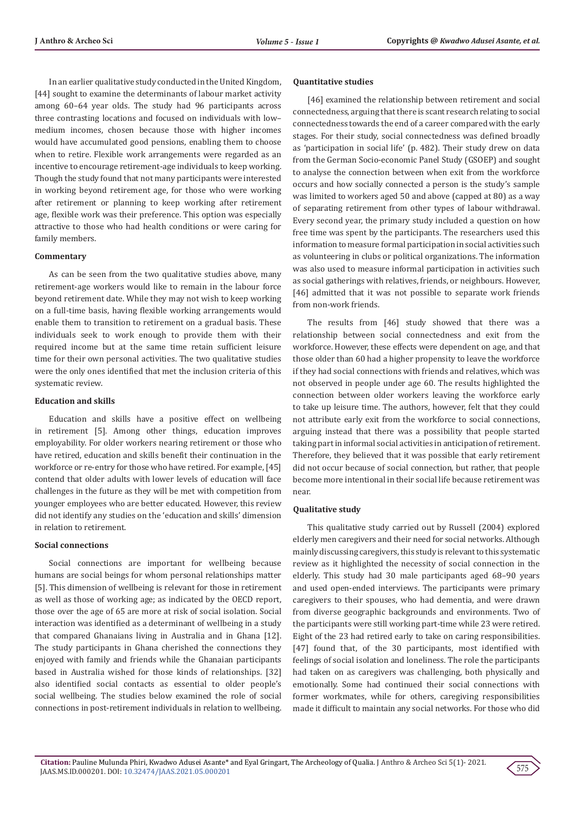In an earlier qualitative study conducted in the United Kingdom, [44] sought to examine the determinants of labour market activity among 60–64 year olds. The study had 96 participants across three contrasting locations and focused on individuals with low– medium incomes, chosen because those with higher incomes would have accumulated good pensions, enabling them to choose when to retire. Flexible work arrangements were regarded as an incentive to encourage retirement-age individuals to keep working. Though the study found that not many participants were interested in working beyond retirement age, for those who were working after retirement or planning to keep working after retirement age, flexible work was their preference. This option was especially attractive to those who had health conditions or were caring for family members.

#### **Commentary**

As can be seen from the two qualitative studies above, many retirement-age workers would like to remain in the labour force beyond retirement date. While they may not wish to keep working on a full-time basis, having flexible working arrangements would enable them to transition to retirement on a gradual basis. These individuals seek to work enough to provide them with their required income but at the same time retain sufficient leisure time for their own personal activities. The two qualitative studies were the only ones identified that met the inclusion criteria of this systematic review.

#### **Education and skills**

Education and skills have a positive effect on wellbeing in retirement [5]. Among other things, education improves employability. For older workers nearing retirement or those who have retired, education and skills benefit their continuation in the workforce or re-entry for those who have retired. For example, [45] contend that older adults with lower levels of education will face challenges in the future as they will be met with competition from younger employees who are better educated. However, this review did not identify any studies on the 'education and skills' dimension in relation to retirement.

### **Social connections**

Social connections are important for wellbeing because humans are social beings for whom personal relationships matter [5]. This dimension of wellbeing is relevant for those in retirement as well as those of working age; as indicated by the OECD report, those over the age of 65 are more at risk of social isolation. Social interaction was identified as a determinant of wellbeing in a study that compared Ghanaians living in Australia and in Ghana [12]. The study participants in Ghana cherished the connections they enjoyed with family and friends while the Ghanaian participants based in Australia wished for those kinds of relationships. [32] also identified social contacts as essential to older people's social wellbeing. The studies below examined the role of social connections in post-retirement individuals in relation to wellbeing.

#### **Quantitative studies**

[46] examined the relationship between retirement and social connectedness, arguing that there is scant research relating to social connectedness towards the end of a career compared with the early stages. For their study, social connectedness was defined broadly as 'participation in social life' (p. 482). Their study drew on data from the German Socio-economic Panel Study (GSOEP) and sought to analyse the connection between when exit from the workforce occurs and how socially connected a person is the study's sample was limited to workers aged 50 and above (capped at 80) as a way of separating retirement from other types of labour withdrawal. Every second year, the primary study included a question on how free time was spent by the participants. The researchers used this information to measure formal participation in social activities such as volunteering in clubs or political organizations. The information was also used to measure informal participation in activities such as social gatherings with relatives, friends, or neighbours. However, [46] admitted that it was not possible to separate work friends from non-work friends.

The results from [46] study showed that there was a relationship between social connectedness and exit from the workforce. However, these effects were dependent on age, and that those older than 60 had a higher propensity to leave the workforce if they had social connections with friends and relatives, which was not observed in people under age 60. The results highlighted the connection between older workers leaving the workforce early to take up leisure time. The authors, however, felt that they could not attribute early exit from the workforce to social connections, arguing instead that there was a possibility that people started taking part in informal social activities in anticipation of retirement. Therefore, they believed that it was possible that early retirement did not occur because of social connection, but rather, that people become more intentional in their social life because retirement was near.

#### **Qualitative study**

This qualitative study carried out by Russell (2004) explored elderly men caregivers and their need for social networks. Although mainly discussing caregivers, this study is relevant to this systematic review as it highlighted the necessity of social connection in the elderly. This study had 30 male participants aged 68–90 years and used open-ended interviews. The participants were primary caregivers to their spouses, who had dementia, and were drawn from diverse geographic backgrounds and environments. Two of the participants were still working part-time while 23 were retired. Eight of the 23 had retired early to take on caring responsibilities. [47] found that, of the 30 participants, most identified with feelings of social isolation and loneliness. The role the participants had taken on as caregivers was challenging, both physically and emotionally. Some had continued their social connections with former workmates, while for others, caregiving responsibilities made it difficult to maintain any social networks. For those who did

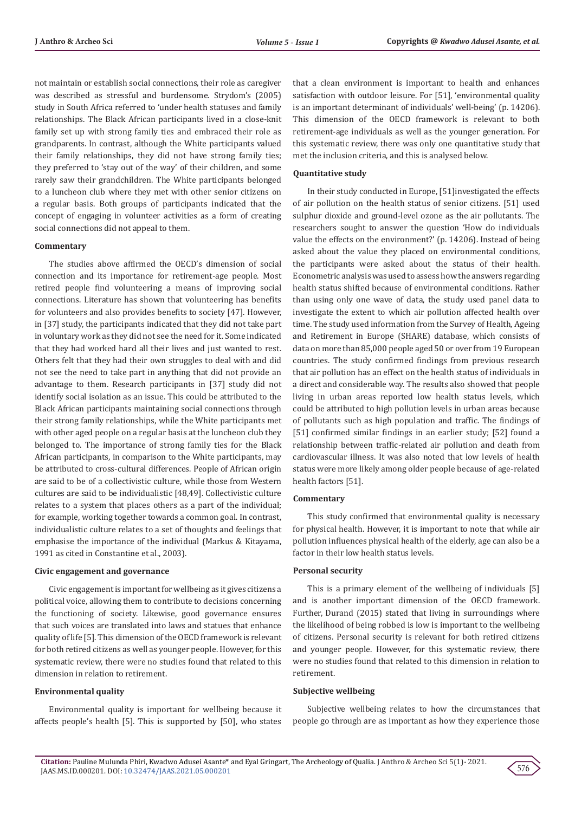not maintain or establish social connections, their role as caregiver was described as stressful and burdensome. Strydom's (2005) study in South Africa referred to 'under health statuses and family relationships. The Black African participants lived in a close-knit family set up with strong family ties and embraced their role as grandparents. In contrast, although the White participants valued their family relationships, they did not have strong family ties; they preferred to 'stay out of the way' of their children, and some rarely saw their grandchildren. The White participants belonged to a luncheon club where they met with other senior citizens on a regular basis. Both groups of participants indicated that the concept of engaging in volunteer activities as a form of creating social connections did not appeal to them.

#### **Commentary**

The studies above affirmed the OECD's dimension of social connection and its importance for retirement-age people. Most retired people find volunteering a means of improving social connections. Literature has shown that volunteering has benefits for volunteers and also provides benefits to society [47]. However, in [37] study, the participants indicated that they did not take part in voluntary work as they did not see the need for it. Some indicated that they had worked hard all their lives and just wanted to rest. Others felt that they had their own struggles to deal with and did not see the need to take part in anything that did not provide an advantage to them. Research participants in [37] study did not identify social isolation as an issue. This could be attributed to the Black African participants maintaining social connections through their strong family relationships, while the White participants met with other aged people on a regular basis at the luncheon club they belonged to. The importance of strong family ties for the Black African participants, in comparison to the White participants, may be attributed to cross-cultural differences. People of African origin are said to be of a collectivistic culture, while those from Western cultures are said to be individualistic [48,49]. Collectivistic culture relates to a system that places others as a part of the individual; for example, working together towards a common goal. In contrast, individualistic culture relates to a set of thoughts and feelings that emphasise the importance of the individual (Markus & Kitayama, 1991 as cited in Constantine et al., 2003).

#### **Civic engagement and governance**

Civic engagement is important for wellbeing as it gives citizens a political voice, allowing them to contribute to decisions concerning the functioning of society. Likewise, good governance ensures that such voices are translated into laws and statues that enhance quality of life [5]. This dimension of the OECD framework is relevant for both retired citizens as well as younger people. However, for this systematic review, there were no studies found that related to this dimension in relation to retirement.

### **Environmental quality**

Environmental quality is important for wellbeing because it affects people's health [5]. This is supported by [50], who states

that a clean environment is important to health and enhances satisfaction with outdoor leisure. For [51], 'environmental quality is an important determinant of individuals' well-being' (p. 14206). This dimension of the OECD framework is relevant to both retirement-age individuals as well as the younger generation. For this systematic review, there was only one quantitative study that met the inclusion criteria, and this is analysed below.

### **Quantitative study**

In their study conducted in Europe, [51]investigated the effects of air pollution on the health status of senior citizens. [51] used sulphur dioxide and ground-level ozone as the air pollutants. The researchers sought to answer the question 'How do individuals value the effects on the environment?' (p. 14206). Instead of being asked about the value they placed on environmental conditions, the participants were asked about the status of their health. Econometric analysis was used to assess how the answers regarding health status shifted because of environmental conditions. Rather than using only one wave of data, the study used panel data to investigate the extent to which air pollution affected health over time. The study used information from the Survey of Health, Ageing and Retirement in Europe (SHARE) database, which consists of data on more than 85,000 people aged 50 or over from 19 European countries. The study confirmed findings from previous research that air pollution has an effect on the health status of individuals in a direct and considerable way. The results also showed that people living in urban areas reported low health status levels, which could be attributed to high pollution levels in urban areas because of pollutants such as high population and traffic. The findings of [51] confirmed similar findings in an earlier study; [52] found a relationship between traffic-related air pollution and death from cardiovascular illness. It was also noted that low levels of health status were more likely among older people because of age-related health factors [51].

#### **Commentary**

This study confirmed that environmental quality is necessary for physical health. However, it is important to note that while air pollution influences physical health of the elderly, age can also be a factor in their low health status levels.

#### **Personal security**

This is a primary element of the wellbeing of individuals [5] and is another important dimension of the OECD framework. Further, Durand (2015) stated that living in surroundings where the likelihood of being robbed is low is important to the wellbeing of citizens. Personal security is relevant for both retired citizens and younger people. However, for this systematic review, there were no studies found that related to this dimension in relation to retirement.

#### **Subjective wellbeing**

Subjective wellbeing relates to how the circumstances that people go through are as important as how they experience those

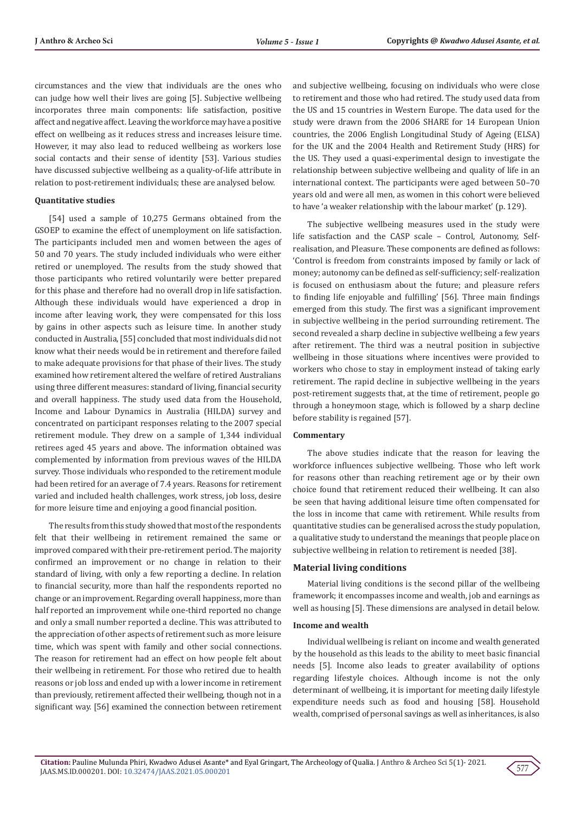circumstances and the view that individuals are the ones who can judge how well their lives are going [5]. Subjective wellbeing incorporates three main components: life satisfaction, positive affect and negative affect. Leaving the workforce may have a positive effect on wellbeing as it reduces stress and increases leisure time. However, it may also lead to reduced wellbeing as workers lose social contacts and their sense of identity [53]. Various studies have discussed subjective wellbeing as a quality-of-life attribute in relation to post-retirement individuals; these are analysed below.

#### **Quantitative studies**

[54] used a sample of 10,275 Germans obtained from the GSOEP to examine the effect of unemployment on life satisfaction. The participants included men and women between the ages of 50 and 70 years. The study included individuals who were either retired or unemployed. The results from the study showed that those participants who retired voluntarily were better prepared for this phase and therefore had no overall drop in life satisfaction. Although these individuals would have experienced a drop in income after leaving work, they were compensated for this loss by gains in other aspects such as leisure time. In another study conducted in Australia, [55] concluded that most individuals did not know what their needs would be in retirement and therefore failed to make adequate provisions for that phase of their lives. The study examined how retirement altered the welfare of retired Australians using three different measures: standard of living, financial security and overall happiness. The study used data from the Household, Income and Labour Dynamics in Australia (HILDA) survey and concentrated on participant responses relating to the 2007 special retirement module. They drew on a sample of 1,344 individual retirees aged 45 years and above. The information obtained was complemented by information from previous waves of the HILDA survey. Those individuals who responded to the retirement module had been retired for an average of 7.4 years. Reasons for retirement varied and included health challenges, work stress, job loss, desire for more leisure time and enjoying a good financial position.

The results from this study showed that most of the respondents felt that their wellbeing in retirement remained the same or improved compared with their pre-retirement period. The majority confirmed an improvement or no change in relation to their standard of living, with only a few reporting a decline. In relation to financial security, more than half the respondents reported no change or an improvement. Regarding overall happiness, more than half reported an improvement while one-third reported no change and only a small number reported a decline. This was attributed to the appreciation of other aspects of retirement such as more leisure time, which was spent with family and other social connections. The reason for retirement had an effect on how people felt about their wellbeing in retirement. For those who retired due to health reasons or job loss and ended up with a lower income in retirement than previously, retirement affected their wellbeing, though not in a significant way. [56] examined the connection between retirement

and subjective wellbeing, focusing on individuals who were close to retirement and those who had retired. The study used data from the US and 15 countries in Western Europe. The data used for the study were drawn from the 2006 SHARE for 14 European Union countries, the 2006 English Longitudinal Study of Ageing (ELSA) for the UK and the 2004 Health and Retirement Study (HRS) for the US. They used a quasi-experimental design to investigate the relationship between subjective wellbeing and quality of life in an international context. The participants were aged between 50–70 years old and were all men, as women in this cohort were believed to have 'a weaker relationship with the labour market' (p. 129).

The subjective wellbeing measures used in the study were life satisfaction and the CASP scale – Control, Autonomy, Selfrealisation, and Pleasure. These components are defined as follows: 'Control is freedom from constraints imposed by family or lack of money; autonomy can be defined as self-sufficiency; self-realization is focused on enthusiasm about the future; and pleasure refers to finding life enjoyable and fulfilling' [56]. Three main findings emerged from this study. The first was a significant improvement in subjective wellbeing in the period surrounding retirement. The second revealed a sharp decline in subjective wellbeing a few years after retirement. The third was a neutral position in subjective wellbeing in those situations where incentives were provided to workers who chose to stay in employment instead of taking early retirement. The rapid decline in subjective wellbeing in the years post-retirement suggests that, at the time of retirement, people go through a honeymoon stage, which is followed by a sharp decline before stability is regained [57].

#### **Commentary**

The above studies indicate that the reason for leaving the workforce influences subjective wellbeing. Those who left work for reasons other than reaching retirement age or by their own choice found that retirement reduced their wellbeing. It can also be seen that having additional leisure time often compensated for the loss in income that came with retirement. While results from quantitative studies can be generalised across the study population, a qualitative study to understand the meanings that people place on subjective wellbeing in relation to retirement is needed [38].

#### **Material living conditions**

Material living conditions is the second pillar of the wellbeing framework; it encompasses income and wealth, job and earnings as well as housing [5]. These dimensions are analysed in detail below.

#### **Income and wealth**

Individual wellbeing is reliant on income and wealth generated by the household as this leads to the ability to meet basic financial needs [5]. Income also leads to greater availability of options regarding lifestyle choices. Although income is not the only determinant of wellbeing, it is important for meeting daily lifestyle expenditure needs such as food and housing [58]. Household wealth, comprised of personal savings as well as inheritances, is also

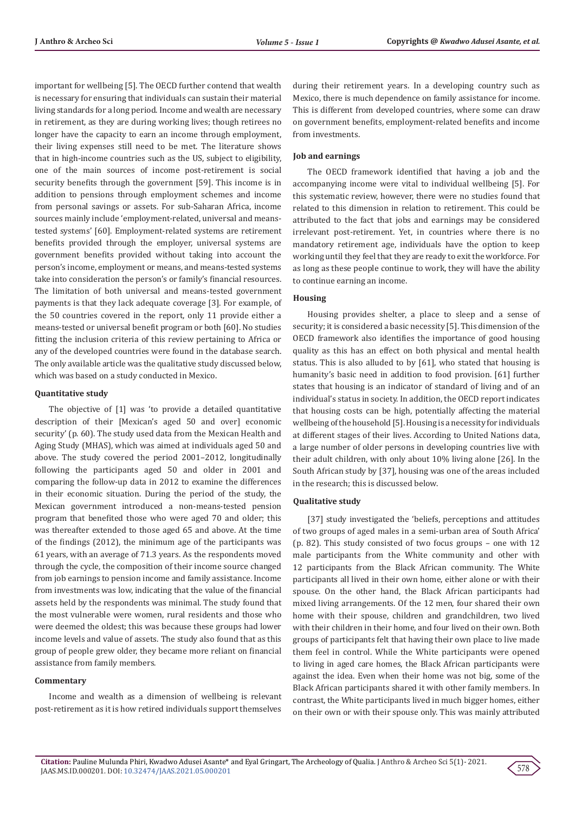important for wellbeing [5]. The OECD further contend that wealth is necessary for ensuring that individuals can sustain their material living standards for a long period. Income and wealth are necessary in retirement, as they are during working lives; though retirees no longer have the capacity to earn an income through employment, their living expenses still need to be met. The literature shows that in high-income countries such as the US, subject to eligibility, one of the main sources of income post-retirement is social security benefits through the government [59]. This income is in addition to pensions through employment schemes and income from personal savings or assets. For sub-Saharan Africa, income sources mainly include 'employment-related, universal and meanstested systems' [60]. Employment-related systems are retirement benefits provided through the employer, universal systems are government benefits provided without taking into account the person's income, employment or means, and means-tested systems take into consideration the person's or family's financial resources. The limitation of both universal and means-tested government payments is that they lack adequate coverage [3]. For example, of the 50 countries covered in the report, only 11 provide either a means-tested or universal benefit program or both [60]. No studies fitting the inclusion criteria of this review pertaining to Africa or any of the developed countries were found in the database search. The only available article was the qualitative study discussed below, which was based on a study conducted in Mexico.

#### **Quantitative study**

The objective of [1] was 'to provide a detailed quantitative description of their [Mexican's aged 50 and over] economic security' (p. 60). The study used data from the Mexican Health and Aging Study (MHAS), which was aimed at individuals aged 50 and above. The study covered the period 2001–2012, longitudinally following the participants aged 50 and older in 2001 and comparing the follow-up data in 2012 to examine the differences in their economic situation. During the period of the study, the Mexican government introduced a non-means-tested pension program that benefited those who were aged 70 and older; this was thereafter extended to those aged 65 and above. At the time of the findings (2012), the minimum age of the participants was 61 years, with an average of 71.3 years. As the respondents moved through the cycle, the composition of their income source changed from job earnings to pension income and family assistance. Income from investments was low, indicating that the value of the financial assets held by the respondents was minimal. The study found that the most vulnerable were women, rural residents and those who were deemed the oldest; this was because these groups had lower income levels and value of assets. The study also found that as this group of people grew older, they became more reliant on financial assistance from family members.

### **Commentary**

Income and wealth as a dimension of wellbeing is relevant post-retirement as it is how retired individuals support themselves during their retirement years. In a developing country such as Mexico, there is much dependence on family assistance for income. This is different from developed countries, where some can draw on government benefits, employment-related benefits and income from investments.

#### **Job and earnings**

The OECD framework identified that having a job and the accompanying income were vital to individual wellbeing [5]. For this systematic review, however, there were no studies found that related to this dimension in relation to retirement. This could be attributed to the fact that jobs and earnings may be considered irrelevant post-retirement. Yet, in countries where there is no mandatory retirement age, individuals have the option to keep working until they feel that they are ready to exit the workforce. For as long as these people continue to work, they will have the ability to continue earning an income.

#### **Housing**

Housing provides shelter, a place to sleep and a sense of security; it is considered a basic necessity [5]. This dimension of the OECD framework also identifies the importance of good housing quality as this has an effect on both physical and mental health status. This is also alluded to by [61], who stated that housing is humanity's basic need in addition to food provision. [61] further states that housing is an indicator of standard of living and of an individual's status in society. In addition, the OECD report indicates that housing costs can be high, potentially affecting the material wellbeing of the household [5]. Housing is a necessity for individuals at different stages of their lives. According to United Nations data, a large number of older persons in developing countries live with their adult children, with only about 10% living alone [26]. In the South African study by [37], housing was one of the areas included in the research; this is discussed below.

#### **Qualitative study**

[37] study investigated the 'beliefs, perceptions and attitudes of two groups of aged males in a semi-urban area of South Africa' (p. 82). This study consisted of two focus groups – one with 12 male participants from the White community and other with 12 participants from the Black African community. The White participants all lived in their own home, either alone or with their spouse. On the other hand, the Black African participants had mixed living arrangements. Of the 12 men, four shared their own home with their spouse, children and grandchildren, two lived with their children in their home, and four lived on their own. Both groups of participants felt that having their own place to live made them feel in control. While the White participants were opened to living in aged care homes, the Black African participants were against the idea. Even when their home was not big, some of the Black African participants shared it with other family members. In contrast, the White participants lived in much bigger homes, either on their own or with their spouse only. This was mainly attributed

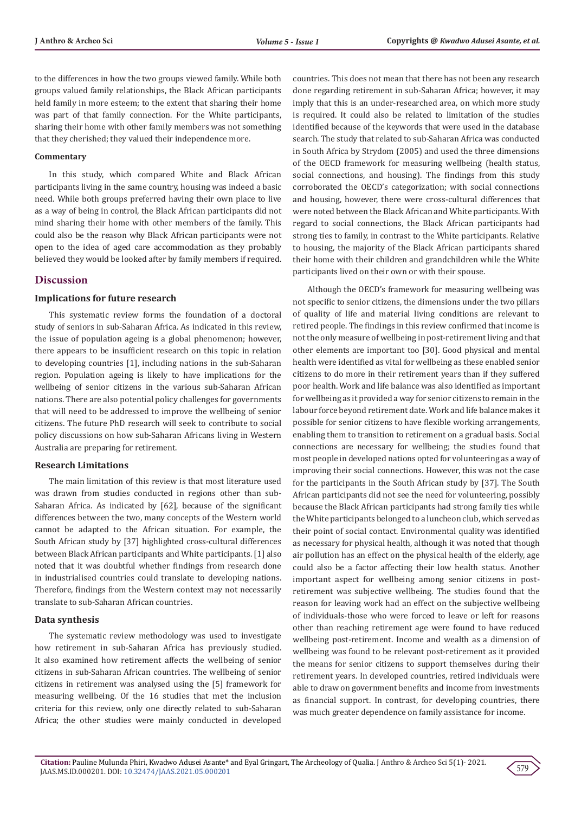to the differences in how the two groups viewed family. While both groups valued family relationships, the Black African participants held family in more esteem; to the extent that sharing their home was part of that family connection. For the White participants, sharing their home with other family members was not something that they cherished; they valued their independence more.

#### **Commentary**

In this study, which compared White and Black African participants living in the same country, housing was indeed a basic need. While both groups preferred having their own place to live as a way of being in control, the Black African participants did not mind sharing their home with other members of the family. This could also be the reason why Black African participants were not open to the idea of aged care accommodation as they probably believed they would be looked after by family members if required.

### **Discussion**

#### **Implications for future research**

This systematic review forms the foundation of a doctoral study of seniors in sub-Saharan Africa. As indicated in this review, the issue of population ageing is a global phenomenon; however, there appears to be insufficient research on this topic in relation to developing countries [1], including nations in the sub-Saharan region. Population ageing is likely to have implications for the wellbeing of senior citizens in the various sub-Saharan African nations. There are also potential policy challenges for governments that will need to be addressed to improve the wellbeing of senior citizens. The future PhD research will seek to contribute to social policy discussions on how sub-Saharan Africans living in Western Australia are preparing for retirement.

### **Research Limitations**

The main limitation of this review is that most literature used was drawn from studies conducted in regions other than sub-Saharan Africa. As indicated by [62], because of the significant differences between the two, many concepts of the Western world cannot be adapted to the African situation. For example, the South African study by [37] highlighted cross-cultural differences between Black African participants and White participants. [1] also noted that it was doubtful whether findings from research done in industrialised countries could translate to developing nations. Therefore, findings from the Western context may not necessarily translate to sub-Saharan African countries.

#### **Data synthesis**

The systematic review methodology was used to investigate how retirement in sub-Saharan Africa has previously studied. It also examined how retirement affects the wellbeing of senior citizens in sub-Saharan African countries. The wellbeing of senior citizens in retirement was analysed using the [5] framework for measuring wellbeing. Of the 16 studies that met the inclusion criteria for this review, only one directly related to sub-Saharan Africa; the other studies were mainly conducted in developed

countries. This does not mean that there has not been any research done regarding retirement in sub-Saharan Africa; however, it may imply that this is an under-researched area, on which more study is required. It could also be related to limitation of the studies identified because of the keywords that were used in the database search. The study that related to sub-Saharan Africa was conducted in South Africa by Strydom (2005) and used the three dimensions of the OECD framework for measuring wellbeing (health status, social connections, and housing). The findings from this study corroborated the OECD's categorization; with social connections and housing, however, there were cross-cultural differences that were noted between the Black African and White participants. With regard to social connections, the Black African participants had strong ties to family, in contrast to the White participants. Relative to housing, the majority of the Black African participants shared their home with their children and grandchildren while the White participants lived on their own or with their spouse.

Although the OECD's framework for measuring wellbeing was not specific to senior citizens, the dimensions under the two pillars of quality of life and material living conditions are relevant to retired people. The findings in this review confirmed that income is not the only measure of wellbeing in post-retirement living and that other elements are important too [30]. Good physical and mental health were identified as vital for wellbeing as these enabled senior citizens to do more in their retirement years than if they suffered poor health. Work and life balance was also identified as important for wellbeing as it provided a way for senior citizens to remain in the labour force beyond retirement date. Work and life balance makes it possible for senior citizens to have flexible working arrangements, enabling them to transition to retirement on a gradual basis. Social connections are necessary for wellbeing; the studies found that most people in developed nations opted for volunteering as a way of improving their social connections. However, this was not the case for the participants in the South African study by [37]. The South African participants did not see the need for volunteering, possibly because the Black African participants had strong family ties while the White participants belonged to a luncheon club, which served as their point of social contact. Environmental quality was identified as necessary for physical health, although it was noted that though air pollution has an effect on the physical health of the elderly, age could also be a factor affecting their low health status. Another important aspect for wellbeing among senior citizens in postretirement was subjective wellbeing. The studies found that the reason for leaving work had an effect on the subjective wellbeing of individuals-those who were forced to leave or left for reasons other than reaching retirement age were found to have reduced wellbeing post-retirement. Income and wealth as a dimension of wellbeing was found to be relevant post-retirement as it provided the means for senior citizens to support themselves during their retirement years. In developed countries, retired individuals were able to draw on government benefits and income from investments as financial support. In contrast, for developing countries, there was much greater dependence on family assistance for income.

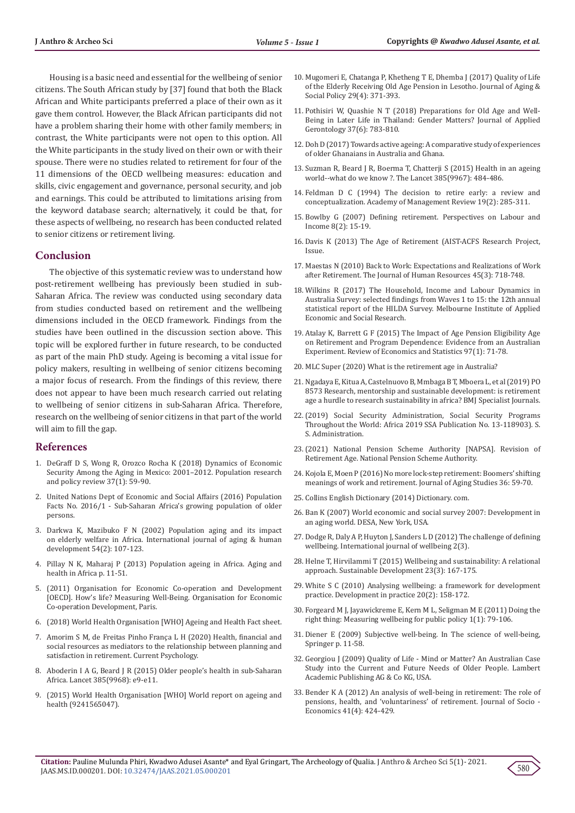Housing is a basic need and essential for the wellbeing of senior citizens. The South African study by [37] found that both the Black African and White participants preferred a place of their own as it gave them control. However, the Black African participants did not have a problem sharing their home with other family members; in contrast, the White participants were not open to this option. All the White participants in the study lived on their own or with their spouse. There were no studies related to retirement for four of the 11 dimensions of the OECD wellbeing measures: education and skills, civic engagement and governance, personal security, and job and earnings. This could be attributed to limitations arising from the keyword database search; alternatively, it could be that, for these aspects of wellbeing, no research has been conducted related to senior citizens or retirement living.

### **Conclusion**

The objective of this systematic review was to understand how post-retirement wellbeing has previously been studied in sub-Saharan Africa. The review was conducted using secondary data from studies conducted based on retirement and the wellbeing dimensions included in the OECD framework. Findings from the studies have been outlined in the discussion section above. This topic will be explored further in future research, to be conducted as part of the main PhD study. Ageing is becoming a vital issue for policy makers, resulting in wellbeing of senior citizens becoming a major focus of research. From the findings of this review, there does not appear to have been much research carried out relating to wellbeing of senior citizens in sub-Saharan Africa. Therefore, research on the wellbeing of senior citizens in that part of the world will aim to fill the gap.

### **References**

- 1. [DeGraff D S, Wong R, Orozco Rocha K \(2018\) Dynamics of Economic](https://pubmed.ncbi.nlm.nih.gov/30250353/) [Security Among the Aging in Mexico: 2001–2012. Population research](https://pubmed.ncbi.nlm.nih.gov/30250353/) [and policy review 37\(1\): 59-90.](https://pubmed.ncbi.nlm.nih.gov/30250353/)
- 2. [United Nations Dept of Economic and Social Affairs \(2016\) Population](https://www.un.org/development/desa/pd/sites/www.un.org.development.desa.pd/files/files/documents/2020/Jan/un_2016_factsheet1.pdf) [Facts No. 2016/1 - Sub-Saharan Africa's growing population of older](https://www.un.org/development/desa/pd/sites/www.un.org.development.desa.pd/files/files/documents/2020/Jan/un_2016_factsheet1.pdf) [persons.](https://www.un.org/development/desa/pd/sites/www.un.org.development.desa.pd/files/files/documents/2020/Jan/un_2016_factsheet1.pdf)
- 3. [Darkwa K, Mazibuko F N \(2002\) Population aging and its impact](https://journals.sagepub.com/doi/abs/10.2190/XTQG-6DXD-9XWE-9X85?journalCode=ahdb) [on elderly welfare in Africa. International journal of aging & human](https://journals.sagepub.com/doi/abs/10.2190/XTQG-6DXD-9XWE-9X85?journalCode=ahdb) [development 54\(2\): 107-123.](https://journals.sagepub.com/doi/abs/10.2190/XTQG-6DXD-9XWE-9X85?journalCode=ahdb)
- 4. Pillay N K, Maharaj P (2013) Population ageing in Africa. Aging and health in Africa p. 11-51.
- 5. (2011) Organisation for Economic Co-operation and Development [OECD]. How's life? Measuring Well-Being. Organisation for Economic Co-operation Development, Paris.
- 6. (2018) World Health Organisation [WHO] Ageing and Health Fact sheet.
- 7. [Amorim S M, de Freitas Pinho França L H \(2020\) Health, financial and](https://www.researchgate.net/publication/342334113_Health_financial_and_social_resources_as_mediators_to_the_relationship_between_planning_and_satisfaction_in_retirement) [social resources as mediators to the relationship between planning and](https://www.researchgate.net/publication/342334113_Health_financial_and_social_resources_as_mediators_to_the_relationship_between_planning_and_satisfaction_in_retirement) [satisfaction in retirement. Current Psychology.](https://www.researchgate.net/publication/342334113_Health_financial_and_social_resources_as_mediators_to_the_relationship_between_planning_and_satisfaction_in_retirement)
- 8. [Aboderin I A G, Beard J R \(2015\) Older people's health in sub-Saharan](https://pubmed.ncbi.nlm.nih.gov/25468150/) [Africa. Lancet 385\(9968\): e9-e11.](https://pubmed.ncbi.nlm.nih.gov/25468150/)
- 9. (2015) World Health Organisation [WHO] World report on ageing and health (9241565047).
- 10. [Mugomeri E, Chatanga P, Khetheng T E, Dhemba J \(2017\) Quality of Life](https://www.tandfonline.com/doi/full/10.1080/08959420.2017.1328952)  [of the Elderly Receiving Old Age Pension in Lesotho. Journal of Aging &](https://www.tandfonline.com/doi/full/10.1080/08959420.2017.1328952)  [Social Policy 29\(4\): 371-393.](https://www.tandfonline.com/doi/full/10.1080/08959420.2017.1328952)
- 11. [Pothisiri W, Quashie N T \(2018\) Preparations for Old Age and Well-](https://journals.sagepub.com/doi/10.1177/0733464816649281)[Being in Later Life in Thailand: Gender Matters? Journal of Applied](https://journals.sagepub.com/doi/10.1177/0733464816649281)  [Gerontology 37\(6\): 783-810.](https://journals.sagepub.com/doi/10.1177/0733464816649281)
- 12. Doh D (2017) Towards active ageing: A comparative study of experiences of older Ghanaians in Australia and Ghana.
- 13. [Suzman R, Beard J R, Boerma T, Chatterji S \(2015\) Health in an ageing](https://www.thelancet.com/journals/lancet/article/PIIS0140-6736(14)61597-X/fulltext)  [world--what do we know ?. The Lancet 385\(9967\): 484-486.](https://www.thelancet.com/journals/lancet/article/PIIS0140-6736(14)61597-X/fulltext)
- 14. [Feldman D C \(1994\) The decision to retire early: a review and](https://www.jstor.org/stable/258706)  [conceptualization. Academy of Management Review 19\(2\): 285-311.](https://www.jstor.org/stable/258706)
- 15. [Bowlby G \(2007\) Defining retirement. Perspectives on Labour and](https://www.researchgate.net/publication/289747766_Defining_retirement)  [Income 8\(2\): 15-19.](https://www.researchgate.net/publication/289747766_Defining_retirement)
- 16. Davis K (2013) The Age of Retirement (AIST-ACFS Research Project, Issue.
- 17. [Maestas N \(2010\) Back to Work: Expectations and Realizations of Work](https://pubmed.ncbi.nlm.nih.gov/24791018/)  [after Retirement. The Journal of Human Resources 45\(3\): 718-748.](https://pubmed.ncbi.nlm.nih.gov/24791018/)
- 18. Wilkins R (2017) The Household, Income and Labour Dynamics in Australia Survey: selected findings from Waves 1 to 15: the 12th annual statistical report of the HILDA Survey. Melbourne Institute of Applied Economic and Social Research.
- 19. [Atalay K, Barrett G F \(2015\) The Impact of Age Pension Eligibility Age](https://www.researchgate.net/publication/254427662_The_Impact_of_Age_Pension_Eligibility_Age_on_Retirement_and_Program_Dependence_Evidence_from_an_Australian_Experiment)  [on Retirement and Program Dependence: Evidence from an Australian](https://www.researchgate.net/publication/254427662_The_Impact_of_Age_Pension_Eligibility_Age_on_Retirement_and_Program_Dependence_Evidence_from_an_Australian_Experiment)  [Experiment. Review of Economics and Statistics 97\(1\): 71-78.](https://www.researchgate.net/publication/254427662_The_Impact_of_Age_Pension_Eligibility_Age_on_Retirement_and_Program_Dependence_Evidence_from_an_Australian_Experiment)
- 20. [MLC Super \(2020\) What is the retirement age in Australia?](https://www.mlc.com.au/personal/blog/2020/12/what_is_retirement_age_in_australia)
- 21. Ngadaya E, Kitua A, Castelnuovo B, Mmbaga B T, Mboera L, et al (2019) PO 8573 Research, mentorship and sustainable development: is retirement age a hurdle to research sustainability in africa? BMJ Specialist Journals.
- 22.(2019) Social Security Administration, Social Security Programs Throughout the World: Africa 2019 SSA Publication No. 13-118903). S. S. Administration.
- 23.(2021) National Pension Scheme Authority [NAPSA]. Revision of Retirement Age. National Pension Scheme Authority.
- 24. [Kojola E, Moen P \(2016\) No more lock-step retirement: Boomers' shifting](https://www.sciencedirect.com/science/article/abs/pii/S0890406515301419?via%3Dihub)  [meanings of work and retirement. Journal of Aging Studies 36: 59-70.](https://www.sciencedirect.com/science/article/abs/pii/S0890406515301419?via%3Dihub)
- 25. Collins English Dictionary (2014) Dictionary. com.
- 26. Ban K (2007) World economic and social survey 2007: Development in an aging world. DESA, New York, USA.
- 27. [Dodge R, Daly A P, Huyton J, Sanders L D \(2012\) The challenge of defining](https://www.researchgate.net/publication/233740458_The_challenge_of_defining_wellbeing)  [wellbeing. International journal of wellbeing 2\(3\).](https://www.researchgate.net/publication/233740458_The_challenge_of_defining_wellbeing)
- 28. [Helne T, Hirvilammi T \(2015\) Wellbeing and sustainability: A relational](https://onlinelibrary.wiley.com/doi/abs/10.1002/sd.1581)  [approach. Sustainable Development 23\(3\): 167-175.](https://onlinelibrary.wiley.com/doi/abs/10.1002/sd.1581)
- 29. [White S C \(2010\) Analysing wellbeing: a framework for development](https://www.tandfonline.com/doi/abs/10.1080/09614520903564199)  [practice. Development in practice 20\(2\): 158-172.](https://www.tandfonline.com/doi/abs/10.1080/09614520903564199)
- 30. [Forgeard M J, Jayawickreme E, Kern M L, Seligman M E \(2011\) Doing the](https://www.researchgate.net/publication/49615198_Doing_the_Right_Thing_Measuring_Well-Being_for_Public_Policy)  [right thing: Measuring wellbeing for public policy 1\(1\): 79-106.](https://www.researchgate.net/publication/49615198_Doing_the_Right_Thing_Measuring_Well-Being_for_Public_Policy)
- 31. Diener E (2009) Subjective well-being. In The science of well-being, Springer p. 11-58.
- 32. Georgiou J (2009) Quality of Life Mind or Matter? An Australian Case Study into the Current and Future Needs of Older People. Lambert Academic Publishing AG & Co KG, USA.
- 33. [Bender K A \(2012\) An analysis of well-being in retirement: The role of](https://www.researchgate.net/publication/228455029_An_Analysis_of_Well-Being_in_Retirement_Causes_and_Effects)  [pensions, health, and 'voluntariness' of retirement. Journal of Socio -](https://www.researchgate.net/publication/228455029_An_Analysis_of_Well-Being_in_Retirement_Causes_and_Effects)  [Economics 41\(4\): 424-429.](https://www.researchgate.net/publication/228455029_An_Analysis_of_Well-Being_in_Retirement_Causes_and_Effects)

580